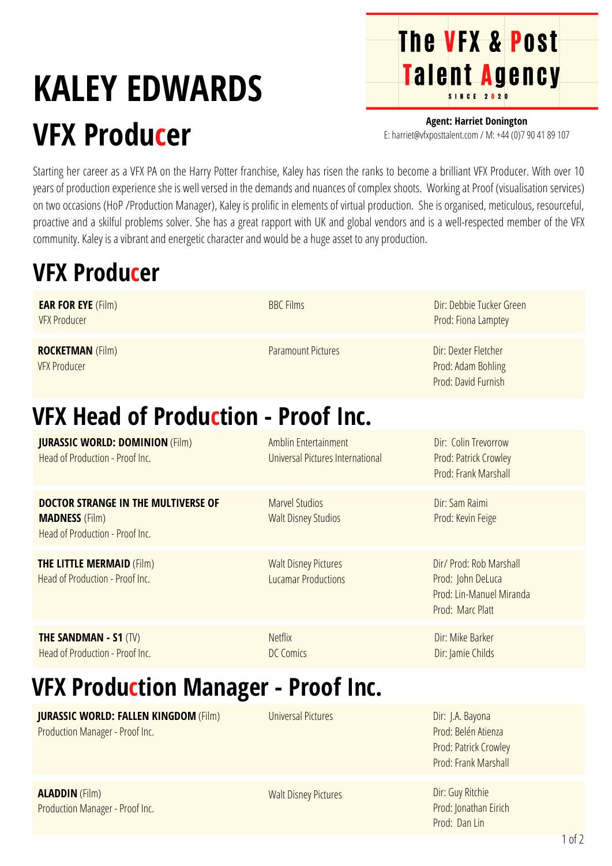## **KALEY EDWARDS VFX Producer**

**Agent: Harriet Donington** E: harriet@vfxposttalent.com / M:+44(0)7904189107

**The VFX & Post** 

Talent Agency

Starting her career as a VFX PA on the Harry Potter franchise, Kaley has risen the ranks to become a brilliant VFX Producer. With over 10 years of production experience she is well versed in the demands and nuances of complex shoots. Working at Proof (visualisation services) on two occasions (HoP /Production Manager), Kaley is prolific in elements of virtual production. She is organised, meticulous, resourceful, proactive and a skilful problems solver. She has a great rapport with UK and global vendors and is a well-respected member of the VFX community. Kaley is a vibrant and energetic character and would be a huge asset to any production.

## **VFX Producer**

| <b>EAR FOR EYE</b> (Film)<br><b>VFX Producer</b>                                                       | <b>BBC Films</b>                                          | Dir: Debbie Tucker Green<br>Prod: Fiona Lamptey                                              |  |
|--------------------------------------------------------------------------------------------------------|-----------------------------------------------------------|----------------------------------------------------------------------------------------------|--|
| <b>ROCKETMAN (Film)</b><br><b>VFX Producer</b>                                                         | <b>Paramount Pictures</b>                                 | Dir: Dexter Fletcher<br>Prod: Adam Bohling<br>Prod: David Furnish                            |  |
| <b>VFX Head of Production - Proof Inc.</b>                                                             |                                                           |                                                                                              |  |
| <b>JURASSIC WORLD: DOMINION (Film)</b><br>Head of Production - Proof Inc.                              | Amblin Entertainment<br>Universal Pictures International  | Dir: Colin Trevorrow<br>Prod: Patrick Crowley<br>Prod: Frank Marshall                        |  |
| <b>DOCTOR STRANGE IN THE MULTIVERSE OF</b><br><b>MADNESS</b> (Film)<br>Head of Production - Proof Inc. | <b>Marvel Studios</b><br><b>Walt Disney Studios</b>       | Dir: Sam Raimi<br>Prod: Kevin Feige                                                          |  |
| <b>THE LITTLE MERMAID (Film)</b><br>Head of Production - Proof Inc.                                    | <b>Walt Disney Pictures</b><br><b>Lucamar Productions</b> | Dir/ Prod: Rob Marshall<br>Prod: John DeLuca<br>Prod: Lin-Manuel Miranda<br>Prod: Marc Platt |  |
| <b>THE SANDMAN - S1 (TV)</b><br>Head of Production - Proof Inc.                                        | <b>Netflix</b><br><b>DC Comics</b>                        | Dir: Mike Barker<br>Dir: Jamie Childs                                                        |  |
| <b>VFX Production Manager - Proof Inc.</b>                                                             |                                                           |                                                                                              |  |
| <b>JURASSIC WORLD: FALLEN KINGDOM (Film)</b><br>Production Manager - Proof Inc.                        | <b>Universal Pictures</b>                                 | Dir: J.A. Bayona<br>Prod: Belén Atienza<br>Prod: Patrick Crowley<br>Prod: Frank Marshall     |  |
| <b>ALADDIN</b> (Film)                                                                                  | Walt Disney Dictures                                      | Dir: Guy Ritchie                                                                             |  |

**ALADDIN** (Film) Production Manager - Proof Inc. walt Disney Pictures

Prod: Jonathan Eirich Prod: Dan Lin